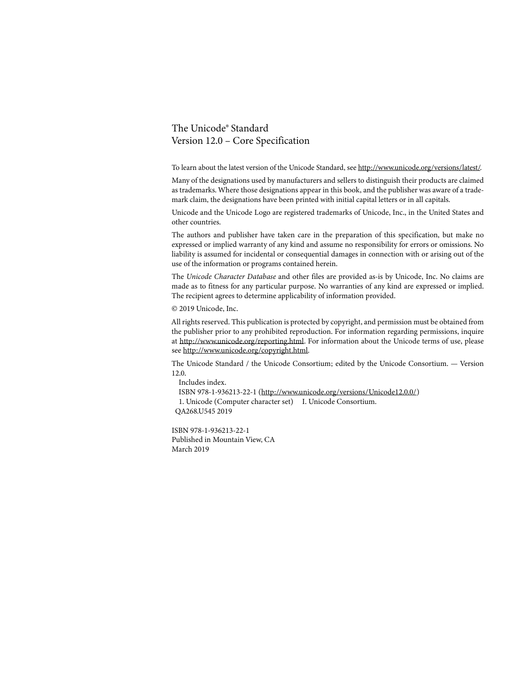#### The Unicode® Standard Version 12.0 – Core Specification

To learn about the latest version of the Unicode Standard, see http://www.unicode.org/versions/latest/.

Many of the designations used by manufacturers and sellers to distinguish their products are claimed as trademarks. Where those designations appear in this book, and the publisher was aware of a trademark claim, the designations have been printed with initial capital letters or in all capitals.

Unicode and the Unicode Logo are registered trademarks of Unicode, Inc., in the United States and other countries.

The authors and publisher have taken care in the preparation of this specification, but make no expressed or implied warranty of any kind and assume no responsibility for errors or omissions. No liability is assumed for incidental or consequential damages in connection with or arising out of the use of the information or programs contained herein.

The *Unicode Character Database* and other files are provided as-is by Unicode, Inc. No claims are made as to fitness for any particular purpose. No warranties of any kind are expressed or implied. The recipient agrees to determine applicability of information provided.

© 2019 Unicode, Inc.

All rights reserved. This publication is protected by copyright, and permission must be obtained from the publisher prior to any prohibited reproduction. For information regarding permissions, inquire at http://www.unicode.org/reporting.html. For information about the Unicode terms of use, please see http://www.unicode.org/copyright.html.

The Unicode Standard / the Unicode Consortium; edited by the Unicode Consortium. — Version 12.0.

 Includes index. ISBN 978-1-936213-22-1 (http://www.unicode.org/versions/Unicode12.0.0/) 1. Unicode (Computer character set) I. Unicode Consortium. QA268.U545 2019

ISBN 978-1-936213-22-1 Published in Mountain View, CA March 2019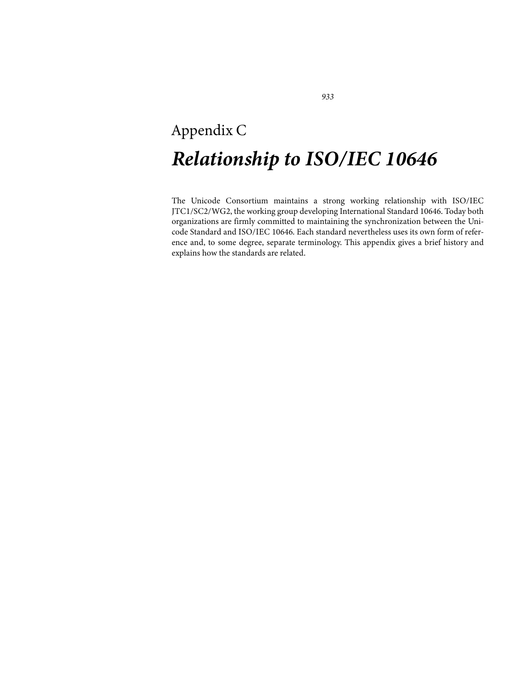# Appendix C *Relationship to ISO/IEC 10646*

The Unicode Consortium maintains a strong working relationship with ISO/IEC JTC1/SC2/WG2, the working group developing International Standard 10646. Today both organizations are firmly committed to maintaining the synchronization between the Unicode Standard and ISO/IEC 10646. Each standard nevertheless uses its own form of reference and, to some degree, separate terminology. This appendix gives a brief history and explains how the standards are related.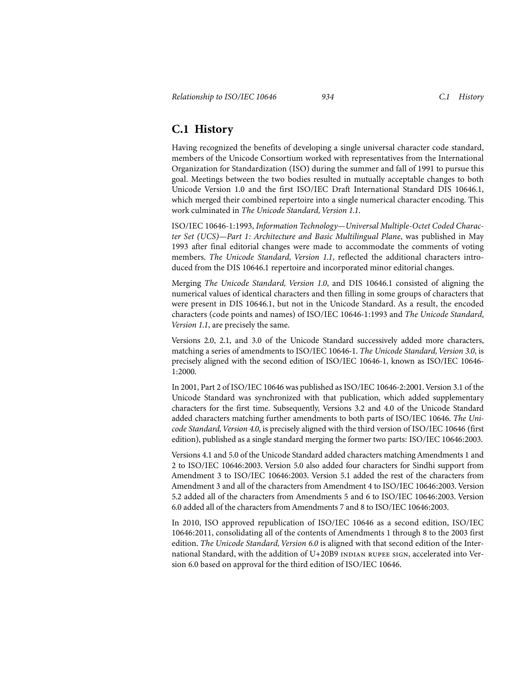## **C.1 History**

Having recognized the benefits of developing a single universal character code standard, members of the Unicode Consortium worked with representatives from the International Organization for Standardization (ISO) during the summer and fall of 1991 to pursue this goal. Meetings between the two bodies resulted in mutually acceptable changes to both Unicode Version 1.0 and the first ISO/IEC Draft International Standard DIS 10646.1, which merged their combined repertoire into a single numerical character encoding. This work culminated in *The Unicode Standard, Version 1.1*.

ISO/IEC 10646-1:1993, *Information Technology—Universal Multiple-Octet Coded Character Set (UCS)—Part 1: Architecture and Basic Multilingual Plane*, was published in May 1993 after final editorial changes were made to accommodate the comments of voting members. *The Unicode Standard, Version 1.1*, reflected the additional characters introduced from the DIS 10646.1 repertoire and incorporated minor editorial changes.

Merging *The Unicode Standard, Version 1.0*, and DIS 10646.1 consisted of aligning the numerical values of identical characters and then filling in some groups of characters that were present in DIS 10646.1, but not in the Unicode Standard. As a result, the encoded characters (code points and names) of ISO/IEC 10646-1:1993 and *The Unicode Standard, Version 1.1*, are precisely the same.

Versions 2.0, 2.1, and 3.0 of the Unicode Standard successively added more characters, matching a series of amendments to ISO/IEC 10646-1. *The Unicode Standard, Version 3.0*, is precisely aligned with the second edition of ISO/IEC 10646-1, known as ISO/IEC 10646- 1:2000.

In 2001, Part 2 of ISO/IEC 10646 was published as ISO/IEC 10646-2:2001. Version 3.1 of the Unicode Standard was synchronized with that publication, which added supplementary characters for the first time. Subsequently, Versions 3.2 and 4.0 of the Unicode Standard added characters matching further amendments to both parts of ISO/IEC 10646. *The Unicode Standard, Version 4.0*, is precisely aligned with the third version of ISO/IEC 10646 (first edition), published as a single standard merging the former two parts: ISO/IEC 10646:2003.

Versions 4.1 and 5.0 of the Unicode Standard added characters matching Amendments 1 and 2 to ISO/IEC 10646:2003. Version 5.0 also added four characters for Sindhi support from Amendment 3 to ISO/IEC 10646:2003. Version 5.1 added the rest of the characters from Amendment 3 and all of the characters from Amendment 4 to ISO/IEC 10646:2003. Version 5.2 added all of the characters from Amendments 5 and 6 to ISO/IEC 10646:2003. Version 6.0 added all of the characters from Amendments 7 and 8 to ISO/IEC 10646:2003.

In 2010, ISO approved republication of ISO/IEC 10646 as a second edition, ISO/IEC 10646:2011, consolidating all of the contents of Amendments 1 through 8 to the 2003 first edition. *The Unicode Standard, Version 6.0* is aligned with that second edition of the International Standard, with the addition of  $U+20B9$  INDIAN RUPEE SIGN, accelerated into Version 6.0 based on approval for the third edition of ISO/IEC 10646.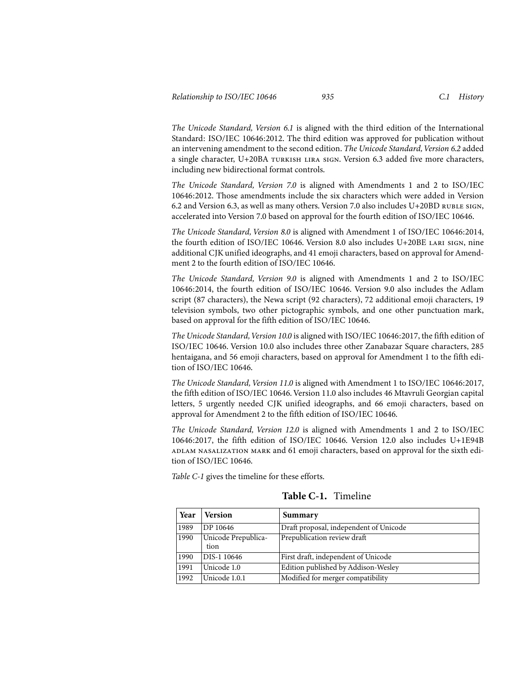*The Unicode Standard, Version 6.1* is aligned with the third edition of the International Standard: ISO/IEC 10646:2012. The third edition was approved for publication without an intervening amendment to the second edition. *The Unicode Standard, Version 6.2* added a single character, U+20BA turkish lira sign. Version 6.3 added five more characters, including new bidirectional format controls.

*The Unicode Standard, Version 7.0* is aligned with Amendments 1 and 2 to ISO/IEC 10646:2012. Those amendments include the six characters which were added in Version 6.2 and Version 6.3, as well as many others. Version 7.0 also includes U+20BD ruble sign, accelerated into Version 7.0 based on approval for the fourth edition of ISO/IEC 10646.

*The Unicode Standard, Version 8.0* is aligned with Amendment 1 of ISO/IEC 10646:2014, the fourth edition of ISO/IEC 10646. Version 8.0 also includes U+20BE lari sign, nine additional CJK unified ideographs, and 41 emoji characters, based on approval for Amendment 2 to the fourth edition of ISO/IEC 10646.

*The Unicode Standard, Version 9.0* is aligned with Amendments 1 and 2 to ISO/IEC 10646:2014, the fourth edition of ISO/IEC 10646. Version 9.0 also includes the Adlam script (87 characters), the Newa script (92 characters), 72 additional emoji characters, 19 television symbols, two other pictographic symbols, and one other punctuation mark, based on approval for the fifth edition of ISO/IEC 10646.

*The Unicode Standard, Version 10.0* is aligned with ISO/IEC 10646:2017, the fifth edition of ISO/IEC 10646. Version 10.0 also includes three other Zanabazar Square characters, 285 hentaigana, and 56 emoji characters, based on approval for Amendment 1 to the fifth edition of ISO/IEC 10646.

*The Unicode Standard, Version 11.0* is aligned with Amendment 1 to ISO/IEC 10646:2017, the fifth edition of ISO/IEC 10646. Version 11.0 also includes 46 Mtavruli Georgian capital letters, 5 urgently needed CJK unified ideographs, and 66 emoji characters, based on approval for Amendment 2 to the fifth edition of ISO/IEC 10646.

*The Unicode Standard, Version 12.0* is aligned with Amendments 1 and 2 to ISO/IEC 10646:2017, the fifth edition of ISO/IEC 10646. Version 12.0 also includes U+1E94B adlam nasalization mark and 61 emoji characters, based on approval for the sixth edition of ISO/IEC 10646.

<span id="page-3-0"></span>*[Table C-1](#page-3-0)* gives the timeline for these efforts.

| Year | <b>Version</b>              | Summary                                |
|------|-----------------------------|----------------------------------------|
| 1989 | DP 10646                    | Draft proposal, independent of Unicode |
| 1990 | Unicode Prepublica-<br>tion | Prepublication review draft            |
| 1990 | DIS-1 10646                 | First draft, independent of Unicode    |
| 1991 | Unicode 1.0                 | Edition published by Addison-Wesley    |
| 1992 | Unicode 1.0.1               | Modified for merger compatibility      |

**Table C-1.** Timeline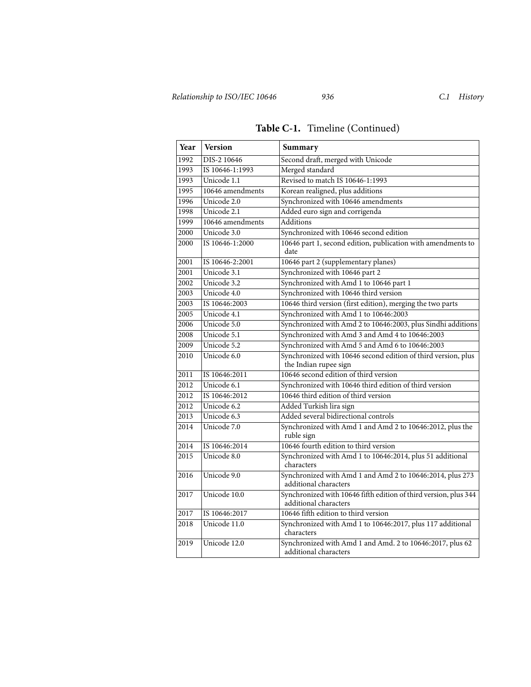| Year | <b>Version</b>   | Summary                                                                                   |  |
|------|------------------|-------------------------------------------------------------------------------------------|--|
| 1992 | DIS-2 10646      | Second draft, merged with Unicode                                                         |  |
| 1993 | IS 10646-1:1993  | Merged standard                                                                           |  |
| 1993 | Unicode 1.1      | Revised to match IS 10646-1:1993                                                          |  |
| 1995 | 10646 amendments | Korean realigned, plus additions                                                          |  |
| 1996 | Unicode 2.0      | Synchronized with 10646 amendments                                                        |  |
| 1998 | Unicode 2.1      | Added euro sign and corrigenda                                                            |  |
| 1999 | 10646 amendments | Additions                                                                                 |  |
| 2000 | Unicode 3.0      | Synchronized with 10646 second edition                                                    |  |
| 2000 | IS 10646-1:2000  | 10646 part 1, second edition, publication with amendments to<br>date                      |  |
| 2001 | IS 10646-2:2001  | 10646 part 2 (supplementary planes)                                                       |  |
| 2001 | Unicode 3.1      | Synchronized with 10646 part 2                                                            |  |
| 2002 | Unicode 3.2      | Synchronized with Amd 1 to 10646 part 1                                                   |  |
| 2003 | Unicode 4.0      | Synchronized with 10646 third version                                                     |  |
| 2003 | IS 10646:2003    | 10646 third version (first edition), merging the two parts                                |  |
| 2005 | Unicode 4.1      | Synchronized with Amd 1 to 10646:2003                                                     |  |
| 2006 | Unicode 5.0      | Synchronized with Amd 2 to 10646:2003, plus Sindhi additions                              |  |
| 2008 | Unicode 5.1      | Synchronized with Amd 3 and Amd 4 to 10646:2003                                           |  |
| 2009 | Unicode 5.2      | Synchronized with Amd 5 and Amd 6 to 10646:2003                                           |  |
| 2010 | Unicode 6.0      | Synchronized with 10646 second edition of third version, plus<br>the Indian rupee sign    |  |
| 2011 | IS 10646:2011    | 10646 second edition of third version                                                     |  |
| 2012 | Unicode 6.1      | Synchronized with 10646 third edition of third version                                    |  |
| 2012 | IS 10646:2012    | 10646 third edition of third version                                                      |  |
| 2012 | Unicode 6.2      | Added Turkish lira sign                                                                   |  |
| 2013 | Unicode 6.3      | Added several bidirectional controls                                                      |  |
| 2014 | Unicode 7.0      | Synchronized with Amd 1 and Amd 2 to 10646:2012, plus the<br>ruble sign                   |  |
| 2014 | IS 10646:2014    | 10646 fourth edition to third version                                                     |  |
| 2015 | Unicode 8.0      | Synchronized with Amd 1 to 10646:2014, plus 51 additional<br>characters                   |  |
| 2016 | Unicode 9.0      | Synchronized with Amd 1 and Amd 2 to 10646:2014, plus 273<br>additional characters        |  |
| 2017 | Unicode 10.0     | Synchronized with 10646 fifth edition of third version, plus 344<br>additional characters |  |
| 2017 | IS 10646:2017    | 10646 fifth edition to third version                                                      |  |
| 2018 | Unicode 11.0     | Synchronized with Amd 1 to 10646:2017, plus 117 additional<br>characters                  |  |
| 2019 | Unicode 12.0     | Synchronized with Amd 1 and Amd. 2 to 10646:2017, plus 62<br>additional characters        |  |

# **Table C-1.** Timeline (Continued)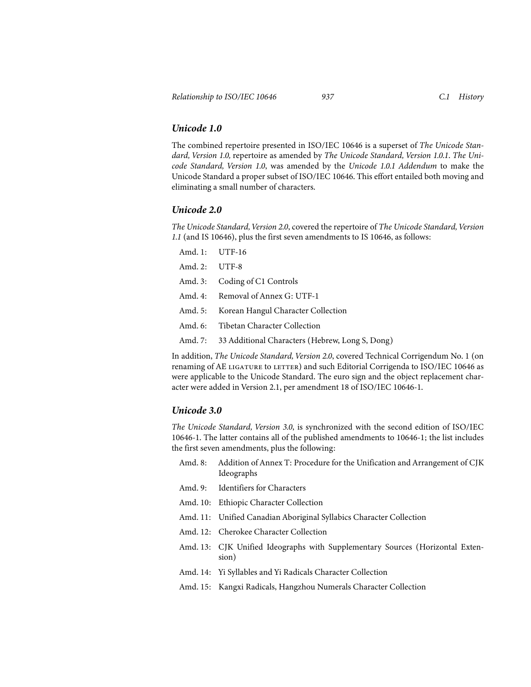#### *Unicode 1.0*

The combined repertoire presented in ISO/IEC 10646 is a superset of *The Unicode Standard, Version 1.0,* repertoire as amended by *The Unicode Standard, Version 1.0.1*. *The Unicode Standard, Version 1.0*, was amended by the *Unicode 1.0.1 Addendum* to make the Unicode Standard a proper subset of ISO/IEC 10646. This effort entailed both moving and eliminating a small number of characters.

#### *Unicode 2.0*

*The Unicode Standard, Version 2.0*, covered the repertoire of *The Unicode Standard, Version 1.1* (and IS 10646), plus the first seven amendments to IS 10646, as follows:

| Amd. 1: UTF-16 |                                                         |
|----------------|---------------------------------------------------------|
| Amd. 2: UTF-8  |                                                         |
|                | Amd. 3: Coding of C1 Controls                           |
|                | Amd. 4: Removal of Annex G: UTF-1                       |
|                | Amd. 5: Korean Hangul Character Collection              |
|                | Amd. 6: Tibetan Character Collection                    |
|                | Amd. 7: 33 Additional Characters (Hebrew, Long S, Dong) |

In addition, *The Unicode Standard, Version 2.0*, covered Technical Corrigendum No. 1 (on renaming of AE LIGATURE to LETTER) and such Editorial Corrigenda to ISO/IEC 10646 as were applicable to the Unicode Standard. The euro sign and the object replacement character were added in Version 2.1, per amendment 18 of ISO/IEC 10646-1.

## *Unicode 3.0*

*The Unicode Standard, Version 3.0*, is synchronized with the second edition of ISO/IEC 10646-1. The latter contains all of the published amendments to 10646-1; the list includes the first seven amendments, plus the following:

- Amd. 8: Addition of Annex T: Procedure for the Unification and Arrangement of CJK Ideographs
- Amd. 9: Identifiers for Characters
- Amd. 10: Ethiopic Character Collection
- Amd. 11: Unified Canadian Aboriginal Syllabics Character Collection
- Amd. 12: Cherokee Character Collection
- Amd. 13: CJK Unified Ideographs with Supplementary Sources (Horizontal Extension)
- Amd. 14: Yi Syllables and Yi Radicals Character Collection
- Amd. 15: Kangxi Radicals, Hangzhou Numerals Character Collection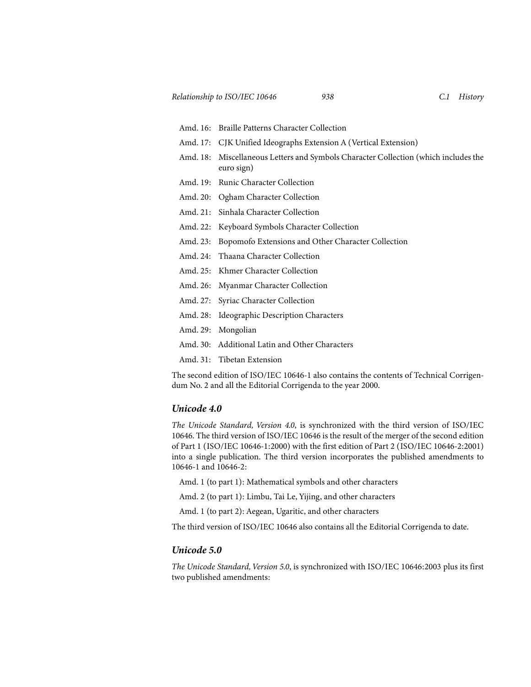- Amd. 16: Braille Patterns Character Collection
- Amd. 17: CJK Unified Ideographs Extension A (Vertical Extension)
- Amd. 18: Miscellaneous Letters and Symbols Character Collection (which includes the euro sign)
- Amd. 19: Runic Character Collection
- Amd. 20: Ogham Character Collection
- Amd. 21: Sinhala Character Collection
- Amd. 22: Keyboard Symbols Character Collection
- Amd. 23: Bopomofo Extensions and Other Character Collection
- Amd. 24: Thaana Character Collection
- Amd. 25: Khmer Character Collection
- Amd. 26: Myanmar Character Collection
- Amd. 27: Syriac Character Collection
- Amd. 28: Ideographic Description Characters
- Amd. 29: Mongolian
- Amd. 30: Additional Latin and Other Characters
- Amd. 31: Tibetan Extension

The second edition of ISO/IEC 10646-1 also contains the contents of Technical Corrigendum No. 2 and all the Editorial Corrigenda to the year 2000.

#### *Unicode 4.0*

*The Unicode Standard, Version 4.0*, is synchronized with the third version of ISO/IEC 10646. The third version of ISO/IEC 10646 is the result of the merger of the second edition of Part 1 (ISO/IEC 10646-1:2000) with the first edition of Part 2 (ISO/IEC 10646-2:2001) into a single publication. The third version incorporates the published amendments to 10646-1 and 10646-2:

Amd. 1 (to part 1): Mathematical symbols and other characters

Amd. 2 (to part 1): Limbu, Tai Le, Yijing, and other characters

Amd. 1 (to part 2): Aegean, Ugaritic, and other characters

The third version of ISO/IEC 10646 also contains all the Editorial Corrigenda to date.

#### *Unicode 5.0*

*The Unicode Standard, Version 5.0*, is synchronized with ISO/IEC 10646:2003 plus its first two published amendments: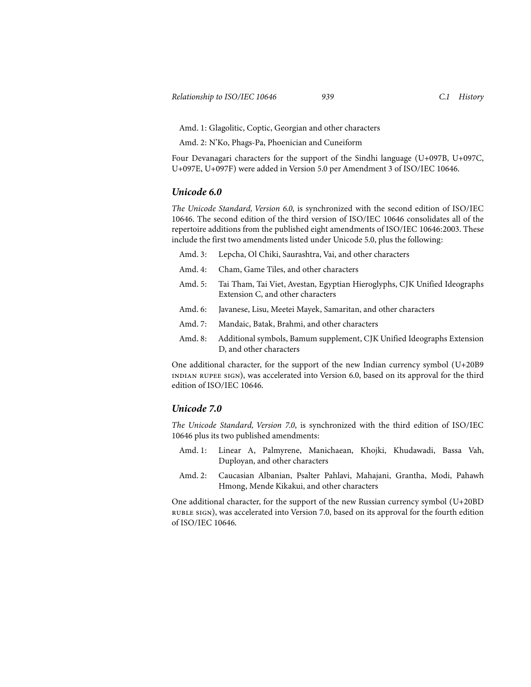Amd. 1: Glagolitic, Coptic, Georgian and other characters

Amd. 2: N'Ko, Phags-Pa, Phoenician and Cuneiform

Four Devanagari characters for the support of the Sindhi language (U+097B, U+097C, U+097E, U+097F) were added in Version 5.0 per Amendment 3 of ISO/IEC 10646.

#### *Unicode 6.0*

*The Unicode Standard, Version 6.0*, is synchronized with the second edition of ISO/IEC 10646. The second edition of the third version of ISO/IEC 10646 consolidates all of the repertoire additions from the published eight amendments of ISO/IEC 10646:2003. These include the first two amendments listed under Unicode 5.0, plus the following:

|           | Amd. 3: Lepcha, Ol Chiki, Saurashtra, Vai, and other characters                                                |
|-----------|----------------------------------------------------------------------------------------------------------------|
| Amd. $4:$ | Cham, Game Tiles, and other characters                                                                         |
| Amd. 5:   | Tai Tham, Tai Viet, Avestan, Egyptian Hieroglyphs, CJK Unified Ideographs<br>Extension C, and other characters |
| Amd. 6:   | Javanese, Lisu, Meetei Mayek, Samaritan, and other characters                                                  |
| Amd. 7:   | Mandaic, Batak, Brahmi, and other characters                                                                   |
| Amd. 8:   | Additional symbols, Bamum supplement, CJK Unified Ideographs Extension<br>D, and other characters              |

One additional character, for the support of the new Indian currency symbol (U+20B9 indian rupee sign), was accelerated into Version 6.0, based on its approval for the third edition of ISO/IEC 10646.

#### *Unicode 7.0*

*The Unicode Standard, Version 7.0*, is synchronized with the third edition of ISO/IEC 10646 plus its two published amendments:

- Amd. 1: Linear A, Palmyrene, Manichaean, Khojki, Khudawadi, Bassa Vah, Duployan, and other characters
- Amd. 2: Caucasian Albanian, Psalter Pahlavi, Mahajani, Grantha, Modi, Pahawh Hmong, Mende Kikakui, and other characters

One additional character, for the support of the new Russian currency symbol (U+20BD ruble sign), was accelerated into Version 7.0, based on its approval for the fourth edition of ISO/IEC 10646.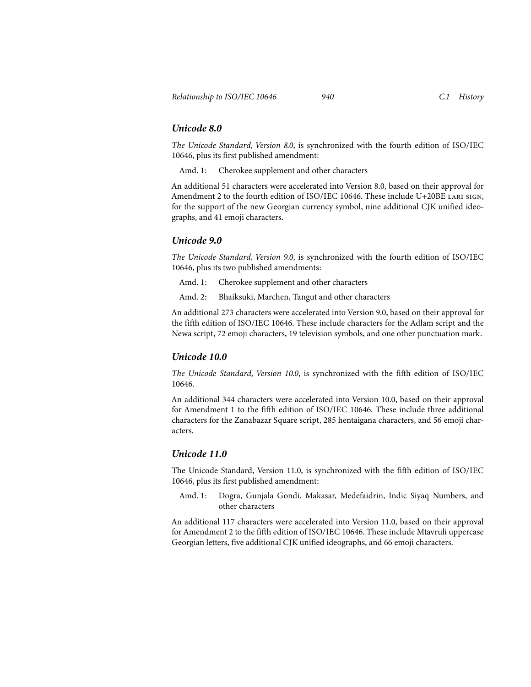### *Unicode 8.0*

*The Unicode Standard, Version 8.0*, is synchronized with the fourth edition of ISO/IEC 10646, plus its first published amendment:

Amd. 1: Cherokee supplement and other characters

An additional 51 characters were accelerated into Version 8.0, based on their approval for Amendment 2 to the fourth edition of ISO/IEC 10646. These include U+20BE LARI SIGN, for the support of the new Georgian currency symbol, nine additional CJK unified ideographs, and 41 emoji characters.

## *Unicode 9.0*

*The Unicode Standard, Version 9.0*, is synchronized with the fourth edition of ISO/IEC 10646, plus its two published amendments:

Amd. 1: Cherokee supplement and other characters

Amd. 2: Bhaiksuki, Marchen, Tangut and other characters

An additional 273 characters were accelerated into Version 9.0, based on their approval for the fifth edition of ISO/IEC 10646. These include characters for the Adlam script and the Newa script, 72 emoji characters, 19 television symbols, and one other punctuation mark.

## *Unicode 10.0*

*The Unicode Standard, Version 10.0*, is synchronized with the fifth edition of ISO/IEC 10646.

An additional 344 characters were accelerated into Version 10.0, based on their approval for Amendment 1 to the fifth edition of ISO/IEC 10646. These include three additional characters for the Zanabazar Square script, 285 hentaigana characters, and 56 emoji characters.

#### *Unicode 11.0*

The Unicode Standard, Version 11.0, is synchronized with the fifth edition of ISO/IEC 10646, plus its first published amendment:

Amd. 1: Dogra, Gunjala Gondi, Makasar, Medefaidrin, Indic Siyaq Numbers, and other characters

An additional 117 characters were accelerated into Version 11.0, based on their approval for Amendment 2 to the fifth edition of ISO/IEC 10646. These include Mtavruli uppercase Georgian letters, five additional CJK unified ideographs, and 66 emoji characters.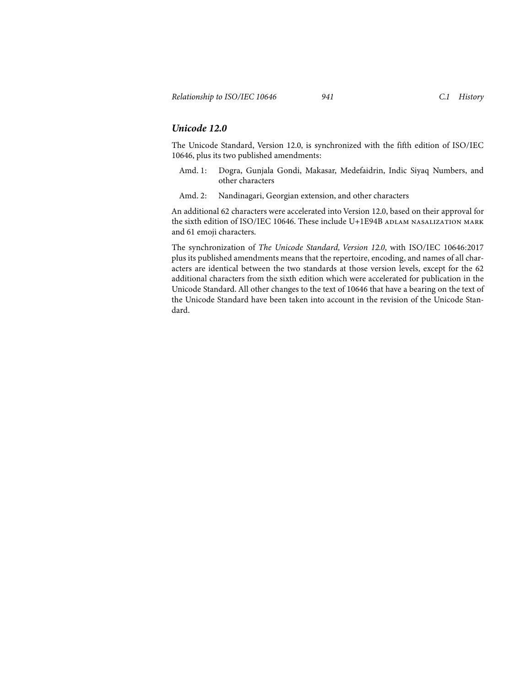#### *Unicode 12.0*

The Unicode Standard, Version 12.0, is synchronized with the fifth edition of ISO/IEC 10646, plus its two published amendments:

- Amd. 1: Dogra, Gunjala Gondi, Makasar, Medefaidrin, Indic Siyaq Numbers, and other characters
- Amd. 2: Nandinagari, Georgian extension, and other characters

An additional 62 characters were accelerated into Version 12.0, based on their approval for the sixth edition of ISO/IEC 10646. These include U+1E94B ADLAM NASALIZATION MARK and 61 emoji characters.

The synchronization of *The Unicode Standard, Version 12.0*, with ISO/IEC 10646:2017 plus its published amendments means that the repertoire, encoding, and names of all characters are identical between the two standards at those version levels, except for the 62 additional characters from the sixth edition which were accelerated for publication in the Unicode Standard. All other changes to the text of 10646 that have a bearing on the text of the Unicode Standard have been taken into account in the revision of the Unicode Standard.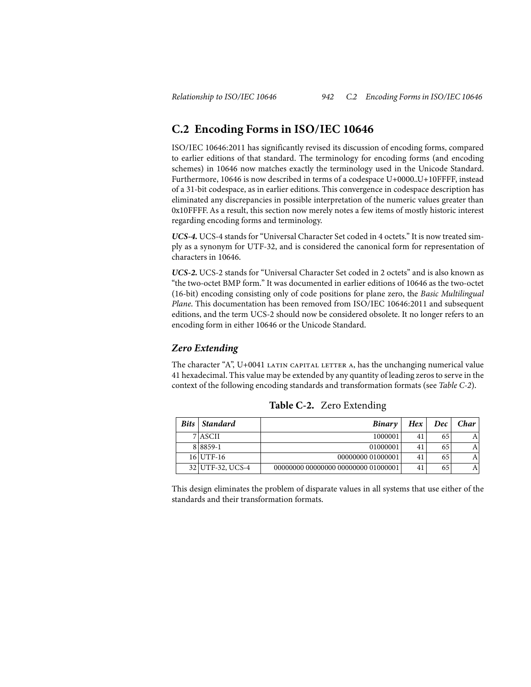# **C.2 Encoding Forms in ISO/IEC 10646**

ISO/IEC 10646:2011 has significantly revised its discussion of encoding forms, compared to earlier editions of that standard. The terminology for encoding forms (and encoding schemes) in 10646 now matches exactly the terminology used in the Unicode Standard. Furthermore, 10646 is now described in terms of a codespace U+0000..U+10FFFF, instead of a 31-bit codespace, as in earlier editions. This convergence in codespace description has eliminated any discrepancies in possible interpretation of the numeric values greater than 0x10FFFF. As a result, this section now merely notes a few items of mostly historic interest regarding encoding forms and terminology.

*UCS-4.* UCS-4 stands for "Universal Character Set coded in 4 octets." It is now treated simply as a synonym for UTF-32, and is considered the canonical form for representation of characters in 10646.

*UCS-2.* UCS-2 stands for "Universal Character Set coded in 2 octets" and is also known as "the two-octet BMP form." It was documented in earlier editions of 10646 as the two-octet (16-bit) encoding consisting only of code positions for plane zero, the *Basic Multilingual Plane*. This documentation has been removed from ISO/IEC 10646:2011 and subsequent editions, and the term UCS-2 should now be considered obsolete. It no longer refers to an encoding form in either 10646 or the Unicode Standard.

#### *Zero Extending*

The character "A",  $U+0041$  LATIN CAPITAL LETTER A, has the unchanging numerical value 41 hexadecimal. This value may be extended by any quantity of leading zeros to serve in the context of the following encoding standards and transformation formats (see *[Table C-2](#page-10-0)*).

<span id="page-10-0"></span>

| <b>Bits</b> | Standard         | Binary                              | Hex | Dec | Char |
|-------------|------------------|-------------------------------------|-----|-----|------|
|             | 7 ASCII          | 1000001                             | 41  | 65  |      |
|             | 8 8 8 5 9 - 1    | 01000001                            | 41  | 65  |      |
|             | 16 UTF-16        | 00000000 01000001                   | 41  | 65  |      |
|             | 32 UTF-32, UCS-4 | 00000000 00000000 00000000 01000001 | 41  | 65  | Α    |

**Table C-2.** Zero Extending

This design eliminates the problem of disparate values in all systems that use either of the standards and their transformation formats.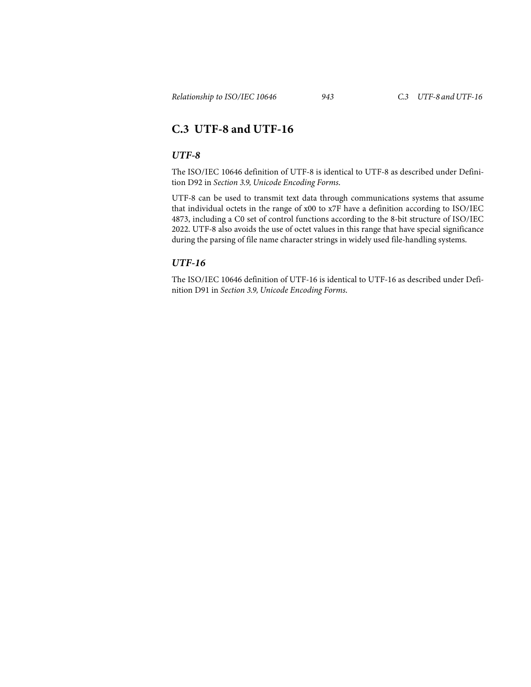# **C.3 UTF-8 and UTF-16**

#### *UTF-8*

The ISO/IEC 10646 definition of UTF-8 is identical to UTF-8 as described under Definition D92 in *Section 3.9, Unicode Encoding Forms*.

UTF-8 can be used to transmit text data through communications systems that assume that individual octets in the range of x00 to x7F have a definition according to ISO/IEC 4873, including a C0 set of control functions according to the 8-bit structure of ISO/IEC 2022. UTF-8 also avoids the use of octet values in this range that have special significance during the parsing of file name character strings in widely used file-handling systems.

### *UTF-16*

The ISO/IEC 10646 definition of UTF-16 is identical to UTF-16 as described under Definition D91 in *Section 3.9, Unicode Encoding Forms*.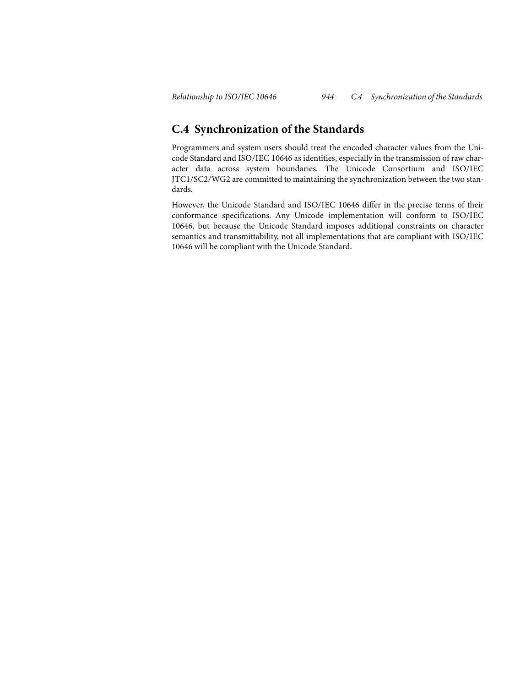## **C.4 Synchronization of the Standards**

Programmers and system users should treat the encoded character values from the Unicode Standard and ISO/IEC 10646 as identities, especially in the transmission of raw character data across system boundaries. The Unicode Consortium and ISO/IEC JTC1/SC2/WG2 are committed to maintaining the synchronization between the two standards.

However, the Unicode Standard and ISO/IEC 10646 differ in the precise terms of their conformance specifications. Any Unicode implementation will conform to ISO/IEC 10646, but because the Unicode Standard imposes additional constraints on character semantics and transmittability, not all implementations that are compliant with ISO/IEC 10646 will be compliant with the Unicode Standard.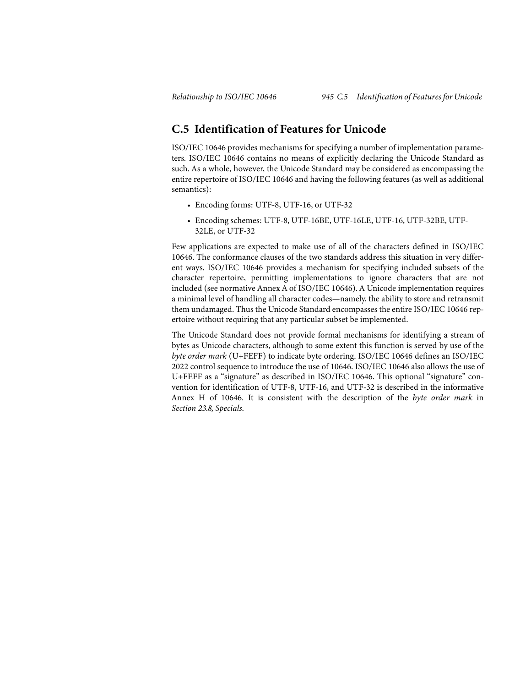## <span id="page-13-0"></span>**C.5 Identification of Features for Unicode**

ISO/IEC 10646 provides mechanisms for specifying a number of implementation parameters. ISO/IEC 10646 contains no means of explicitly declaring the Unicode Standard as such. As a whole, however, the Unicode Standard may be considered as encompassing the entire repertoire of ISO/IEC 10646 and having the following features (as well as additional semantics):

- Encoding forms: UTF-8, UTF-16, or UTF-32
- Encoding schemes: UTF-8, UTF-16BE, UTF-16LE, UTF-16, UTF-32BE, UTF-32LE, or UTF-32

Few applications are expected to make use of all of the characters defined in ISO/IEC 10646. The conformance clauses of the two standards address this situation in very different ways. ISO/IEC 10646 provides a mechanism for specifying included subsets of the character repertoire, permitting implementations to ignore characters that are not included (see normative Annex A of ISO/IEC 10646). A Unicode implementation requires a minimal level of handling all character codes—namely, the ability to store and retransmit them undamaged. Thus the Unicode Standard encompasses the entire ISO/IEC 10646 repertoire without requiring that any particular subset be implemented.

The Unicode Standard does not provide formal mechanisms for identifying a stream of bytes as Unicode characters, although to some extent this function is served by use of the *byte order mark* (U+FEFF) to indicate byte ordering. ISO/IEC 10646 defines an ISO/IEC 2022 control sequence to introduce the use of 10646. ISO/IEC 10646 also allows the use of U+FEFF as a "signature" as described in ISO/IEC 10646. This optional "signature" convention for identification of UTF-8, UTF-16, and UTF-32 is described in the informative Annex H of 10646. It is consistent with the description of the *byte order mark* in *Section 23.8, Specials*.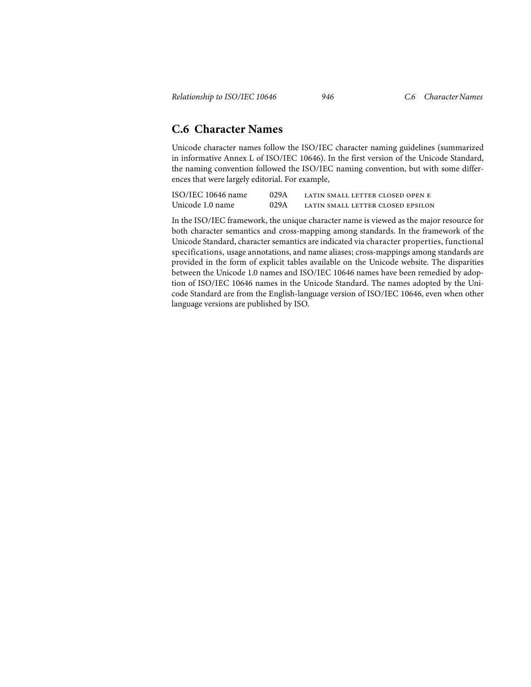## **C.6 Character Names**

Unicode character names follow the ISO/IEC character naming guidelines (summarized in informative Annex L of ISO/IEC 10646). In the first version of the Unicode Standard, the naming convention followed the ISO/IEC naming convention, but with some differences that were largely editorial. For example,

| ISO/IEC 10646 name | 029A | LATIN SMALL LETTER CLOSED OPEN E  |
|--------------------|------|-----------------------------------|
| Unicode 1.0 name   | 029A | LATIN SMALL LETTER CLOSED EPSILON |

In the ISO/IEC framework, the unique character name is viewed as the major resource for both character semantics and cross-mapping among standards. In the framework of the Unicode Standard, character semantics are indicated via character properties, functional specifications, usage annotations, and name aliases; cross-mappings among standards are provided in the form of explicit tables available on the Unicode website. The disparities between the Unicode 1.0 names and ISO/IEC 10646 names have been remedied by adoption of ISO/IEC 10646 names in the Unicode Standard. The names adopted by the Unicode Standard are from the English-language version of ISO/IEC 10646, even when other language versions are published by ISO.